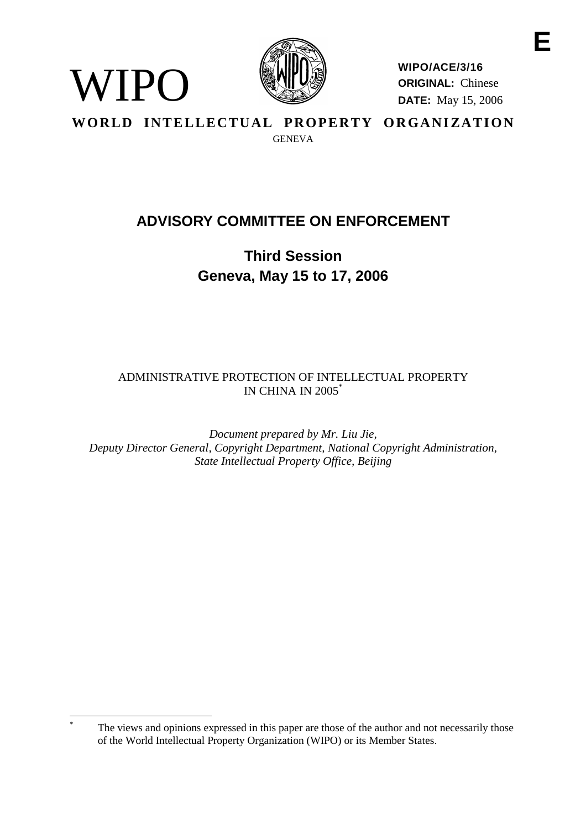

WIPO

**WIPO/ACE/3/16 ORIGINAL:** Chinese **DATE:** May 15, 2006

WORLD INTELLECTUAL PROPERTY ORGANIZATION **GENEVA** 

# **ADVISORY COMMITTEE ON ENFORCEMENT**

**Third Session Geneva, May 15 to 17, 2006**

ADMINISTRATIVE PROTECTION OF INTELLECTUAL PROPERTY IN CHINA IN 2005\*

*Document prepared by Mr. Liu Jie, Deputy Director General, Copyright Department, National Copyright Administration, State Intellectual Property Office, Beijing*

The views and opinions expressed in this paper are those of the author and not necessarily those of the World Intellectual Property Organization (WIPO) or its Member States.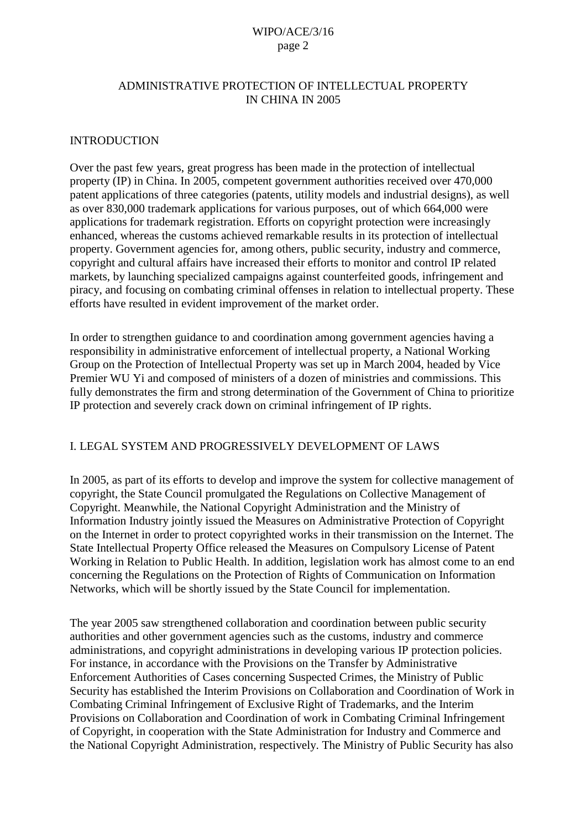## ADMINISTRATIVE PROTECTION OF INTELLECTUAL PROPERTY IN CHINA IN 2005

#### INTRODUCTION

Over the past few years, great progress has been made in the protection of intellectual property (IP) in China. In 2005, competent government authorities received over 470,000 patent applications of three categories (patents, utility models and industrial designs), as well as over 830,000 trademark applications for various purposes, out of which 664,000 were applications for trademark registration. Efforts on copyright protection were increasingly enhanced, whereas the customs achieved remarkable results in its protection of intellectual property. Government agencies for, among others, public security, industry and commerce, copyright and cultural affairs have increased their efforts to monitor and control IP related markets, by launching specialized campaigns against counterfeited goods, infringement and piracy, and focusing on combating criminal offenses in relation to intellectual property. These efforts have resulted in evident improvement of the market order.

In order to strengthen guidance to and coordination among government agencies having a responsibility in administrative enforcement of intellectual property, a National Working Group on the Protection of Intellectual Property was set up in March 2004, headed by Vice Premier WU Yi and composed of ministers of a dozen of ministries and commissions. This fully demonstrates the firm and strong determination of the Government of China to prioritize IP protection and severely crack down on criminal infringement of IP rights.

#### I. LEGAL SYSTEM AND PROGRESSIVELY DEVELOPMENT OF LAWS

In 2005, as part of its efforts to develop and improve the system for collective management of copyright, the State Council promulgated the Regulations on Collective Management of Copyright. Meanwhile, the National Copyright Administration and the Ministry of Information Industry jointly issued the Measures on Administrative Protection of Copyright on the Internet in order to protect copyrighted works in their transmission on the Internet. The State Intellectual Property Office released the Measures on Compulsory License of Patent Working in Relation to Public Health. In addition, legislation work has almost come to an end concerning the Regulations on the Protection of Rights of Communication on Information Networks, which will be shortly issued by the State Council for implementation.

The year 2005 saw strengthened collaboration and coordination between public security authorities and other government agencies such as the customs, industry and commerce administrations, and copyright administrations in developing various IP protection policies. For instance, in accordance with the Provisions on the Transfer by Administrative Enforcement Authorities of Cases concerning Suspected Crimes, the Ministry of Public Security has established the Interim Provisions on Collaboration and Coordination of Work in Combating Criminal Infringement of Exclusive Right of Trademarks, and the Interim Provisions on Collaboration and Coordination of work in Combating Criminal Infringement of Copyright, in cooperation with the State Administration for Industry and Commerce and the National Copyright Administration, respectively. The Ministry of Public Security has also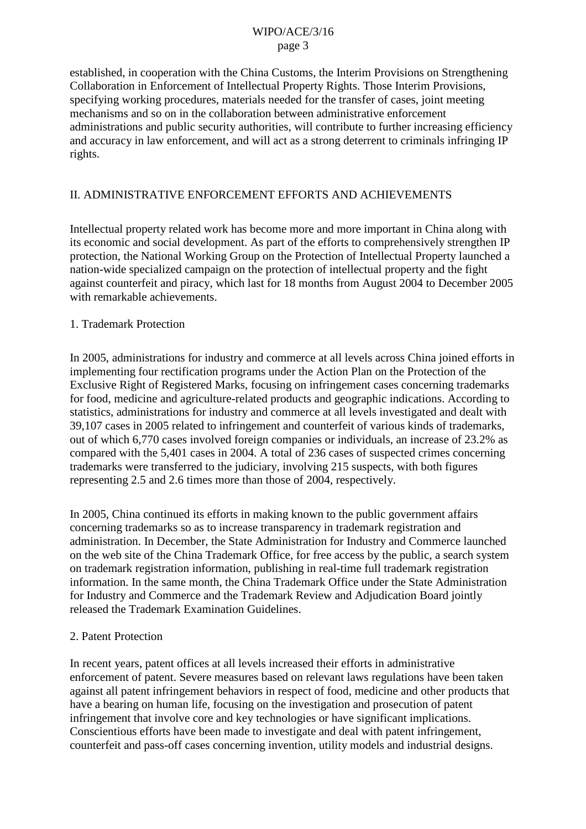established, in cooperation with the China Customs, the Interim Provisions on Strengthening Collaboration in Enforcement of Intellectual Property Rights. Those Interim Provisions, specifying working procedures, materials needed for the transfer of cases, joint meeting mechanisms and so on in the collaboration between administrative enforcement administrations and public security authorities, will contribute to further increasing efficiency and accuracy in law enforcement, and will act as a strong deterrent to criminals infringing IP rights.

## II. ADMINISTRATIVE ENFORCEMENT EFFORTS AND ACHIEVEMENTS

Intellectual property related work has become more and more important in China along with its economic and social development. As part of the efforts to comprehensively strengthen IP protection, the National Working Group on the Protection of Intellectual Property launched a nation-wide specialized campaign on the protection of intellectual property and the fight against counterfeit and piracy, which last for 18 months from August 2004 to December 2005 with remarkable achievements.

#### 1. Trademark Protection

In 2005, administrations for industry and commerce at all levels across China joined efforts in implementing four rectification programs under the Action Plan on the Protection of the Exclusive Right of Registered Marks, focusing on infringement cases concerning trademarks for food, medicine and agriculture-related products and geographic indications. According to statistics, administrations for industry and commerce at all levels investigated and dealt with 39,107 cases in 2005 related to infringement and counterfeit of various kinds of trademarks, out of which 6,770 cases involved foreign companies or individuals, an increase of 23.2% as compared with the 5,401 cases in 2004. A total of 236 cases of suspected crimes concerning trademarks were transferred to the judiciary, involving 215 suspects, with both figures representing 2.5 and 2.6 times more than those of 2004, respectively.

In 2005, China continued its efforts in making known to the public government affairs concerning trademarks so as to increase transparency in trademark registration and administration. In December, the State Administration for Industry and Commerce launched on the web site of the China Trademark Office, for free access by the public, a search system on trademark registration information, publishing in real-time full trademark registration information. In the same month, the China Trademark Office under the State Administration for Industry and Commerce and the Trademark Review and Adjudication Board jointly released the Trademark Examination Guidelines.

#### 2. Patent Protection

In recent years, patent offices at all levels increased their efforts in administrative enforcement of patent. Severe measures based on relevant laws regulations have been taken against all patent infringement behaviors in respect of food, medicine and other products that have a bearing on human life, focusing on the investigation and prosecution of patent infringement that involve core and key technologies or have significant implications. Conscientious efforts have been made to investigate and deal with patent infringement, counterfeit and pass-off cases concerning invention, utility models and industrial designs.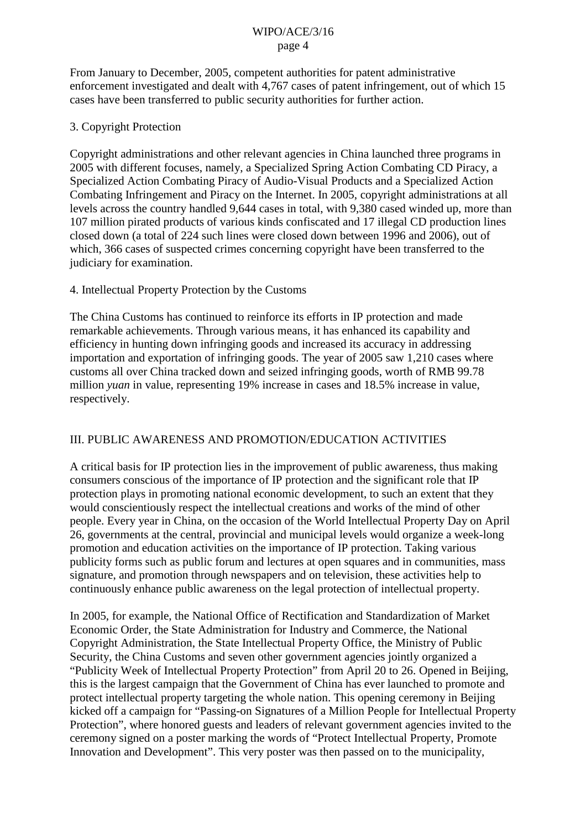From January to December, 2005, competent authorities for patent administrative enforcement investigated and dealt with 4,767 cases of patent infringement, out of which 15 cases have been transferred to public security authorities for further action.

## 3. Copyright Protection

Copyright administrations and other relevant agencies in China launched three programs in 2005 with different focuses, namely, a Specialized Spring Action Combating CD Piracy, a Specialized Action Combating Piracy of Audio-Visual Products and a Specialized Action Combating Infringement and Piracy on the Internet. In 2005, copyright administrations at all levels across the country handled 9,644 cases in total, with 9,380 cased winded up, more than 107 million pirated products of various kinds confiscated and 17 illegal CD production lines closed down (a total of 224 such lines were closed down between 1996 and 2006), out of which, 366 cases of suspected crimes concerning copyright have been transferred to the judiciary for examination.

## 4. Intellectual Property Protection by the Customs

The China Customs has continued to reinforce its efforts in IP protection and made remarkable achievements. Through various means, it has enhanced its capability and efficiency in hunting down infringing goods and increased its accuracy in addressing importation and exportation of infringing goods. The year of 2005 saw 1,210 cases where customs all over China tracked down and seized infringing goods, worth of RMB 99.78 million *yuan* in value, representing 19% increase in cases and 18.5% increase in value, respectively.

# III. PUBLIC AWARENESS AND PROMOTION/EDUCATION ACTIVITIES

A critical basis for IP protection lies in the improvement of public awareness, thus making consumers conscious of the importance of IP protection and the significant role that IP protection plays in promoting national economic development, to such an extent that they would conscientiously respect the intellectual creations and works of the mind of other people. Every year in China, on the occasion of the World Intellectual Property Day on April 26, governments at the central, provincial and municipal levels would organize a week-long promotion and education activities on the importance of IP protection. Taking various publicity forms such as public forum and lectures at open squares and in communities, mass signature, and promotion through newspapers and on television, these activities help to continuously enhance public awareness on the legal protection of intellectual property.

In 2005, for example, the National Office of Rectification and Standardization of Market Economic Order, the State Administration for Industry and Commerce, the National Copyright Administration, the State Intellectual Property Office, the Ministry of Public Security, the China Customs and seven other government agencies jointly organized a "Publicity Week of Intellectual Property Protection" from April 20 to 26. Opened in Beijing, this is the largest campaign that the Government of China has ever launched to promote and protect intellectual property targeting the whole nation. This opening ceremony in Beijing kicked off a campaign for "Passing-on Signatures of a Million People for Intellectual Property Protection", where honored guests and leaders of relevant government agencies invited to the ceremony signed on a poster marking the words of "Protect Intellectual Property, Promote Innovation and Development". This very poster was then passed on to the municipality,